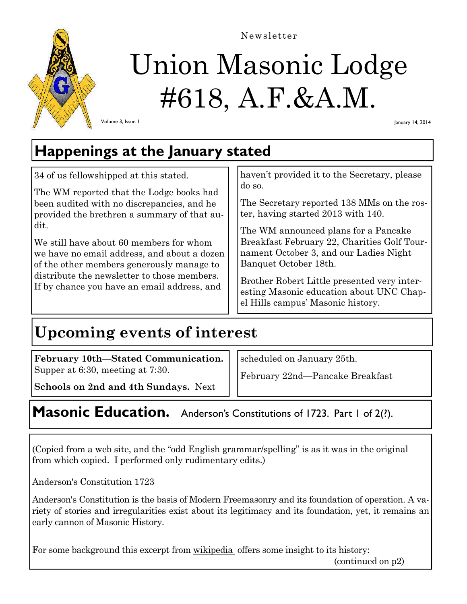

# Union Masonic Lodge #618, A.F.&A.M. Newsletter

Volume 3, Issue 1

January 14, 2014

# **Happenings at the January stated**

34 of us fellowshipped at this stated.

The WM reported that the Lodge books had been audited with no discrepancies, and he provided the brethren a summary of that audit.

We still have about 60 members for whom we have no email address, and about a dozen of the other members generously manage to distribute the newsletter to those members. If by chance you have an email address, and

haven't provided it to the Secretary, please do so.

The Secretary reported 138 MMs on the roster, having started 2013 with 140.

The WM announced plans for a Pancake Breakfast February 22, Charities Golf Tournament October 3, and our Ladies Night Banquet October 18th.

Brother Robert Little presented very interesting Masonic education about UNC Chapel Hills campus' Masonic history.

# **Upcoming events of interest**

**February 10th—Stated Communication.**  Supper at 6:30, meeting at 7:30.

scheduled on January 25th.

February 22nd—Pancake Breakfast

**Schools on 2nd and 4th Sundays.** Next

## Masonic Education. Anderson's Constitutions of 1723. Part 1 of 2(?).

(Copied from a web site, and the "odd English grammar/spelling" is as it was in the original from which copied. I performed only rudimentary edits.)

Anderson's Constitution 1723

Anderson's Constitution is the basis of Modern Freemasonry and its foundation of operation. A variety of stories and irregularities exist about its legitimacy and its foundation, yet, it remains an early cannon of Masonic History.

For some background this excerpt from wikipedia offers some insight to its history:

(continued on p2)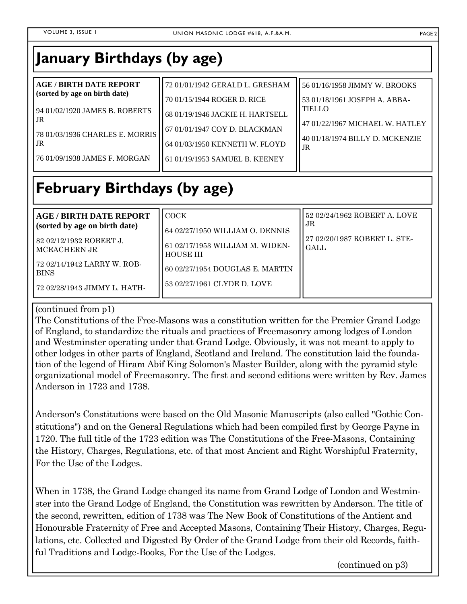## **January Birthdays (by age)**

| <b>AGE / BIRTH DATE REPORT</b><br>(sorted by age on birth date) | 72 01/01/1942 GERALD L. GRESHAM  | 56 01/16/1958 JIMMY W. BROOKS         |
|-----------------------------------------------------------------|----------------------------------|---------------------------------------|
|                                                                 | 70 01/15/1944 ROGER D. RICE      | 53 01/18/1961 JOSEPH A. ABBA-         |
| 194 01/02/1920 JAMES B. ROBERTS<br>l JR.                        | 68 01/19/1946 JACKIE H. HARTSELL | <b>TIELLO</b>                         |
|                                                                 | 67 01/01/1947 COY D. BLACKMAN    | 47 01/22/1967 MICHAEL W. HATLEY       |
| 78 01/03/1936 CHARLES E. MORRIS<br>l JR.                        | 64 01/03/1950 KENNETH W. FLOYD   | 40 01/18/1974 BILLY D. MCKENZIE<br>JR |
| [76 01/09/1938 JAMES F. MORGAN                                  | 61 01/19/1953 SAMUEL B. KEENEY   |                                       |

# **February Birthdays (by age)**

| <b>AGE / BIRTH DATE REPORT</b><br>(sorted by age on birth date)<br>82 02/12/1932 ROBERT J.<br>MCEACHERN JR<br>72 02/14/1942 LARRY W. ROB-<br><b>BINS</b> | <b>LCOCK</b><br>64 02/27/1950 WILLIAM O. DENNIS<br>61 02/17/1953 WILLIAM M. WIDEN-<br>HOUSE III<br>  60 02/27/1954 DOUGLAS E. MARTIN | 52 02/24/1962 ROBERT A. LOVE<br>1 JR<br>27 02/20/1987 ROBERT L. STE-<br><b>GALL</b> |
|----------------------------------------------------------------------------------------------------------------------------------------------------------|--------------------------------------------------------------------------------------------------------------------------------------|-------------------------------------------------------------------------------------|
| 72 02/28/1943 JIMMY L. HATH-                                                                                                                             | 53 02/27/1961 CLYDE D. LOVE                                                                                                          |                                                                                     |

### (continued from p1)

The Constitutions of the Free-Masons was a constitution written for the Premier Grand Lodge of England, to standardize the rituals and practices of Freemasonry among lodges of London and Westminster operating under that Grand Lodge. Obviously, it was not meant to apply to other lodges in other parts of England, Scotland and Ireland. The constitution laid the foundation of the legend of Hiram Abif King Solomon's Master Builder, along with the pyramid style organizational model of Freemasonry. The first and second editions were written by Rev. James Anderson in 1723 and 1738.

Anderson's Constitutions were based on the Old Masonic Manuscripts (also called "Gothic Constitutions") and on the General Regulations which had been compiled first by George Payne in 1720. The full title of the 1723 edition was The Constitutions of the Free-Masons, Containing the History, Charges, Regulations, etc. of that most Ancient and Right Worshipful Fraternity, For the Use of the Lodges.

When in 1738, the Grand Lodge changed its name from Grand Lodge of London and Westminster into the Grand Lodge of England, the Constitution was rewritten by Anderson. The title of the second, rewritten, edition of 1738 was The New Book of Constitutions of the Antient and Honourable Fraternity of Free and Accepted Masons, Containing Their History, Charges, Regulations, etc. Collected and Digested By Order of the Grand Lodge from their old Records, faithful Traditions and Lodge-Books, For the Use of the Lodges.

(continued on p3)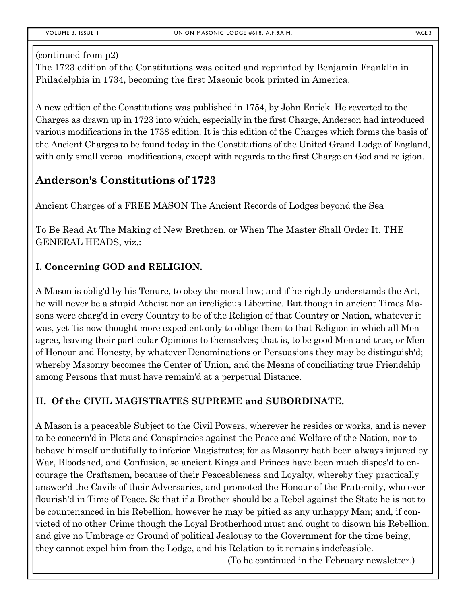#### (continued from p2)

The 1723 edition of the Constitutions was edited and reprinted by Benjamin Franklin in Philadelphia in 1734, becoming the first Masonic book printed in America.

A new edition of the Constitutions was published in 1754, by John Entick. He reverted to the Charges as drawn up in 1723 into which, especially in the first Charge, Anderson had introduced various modifications in the 1738 edition. It is this edition of the Charges which forms the basis of the Ancient Charges to be found today in the Constitutions of the United Grand Lodge of England, with only small verbal modifications, except with regards to the first Charge on God and religion.

### **Anderson's Constitutions of 1723**

Ancient Charges of a FREE MASON The Ancient Records of Lodges beyond the Sea

To Be Read At The Making of New Brethren, or When The Master Shall Order It. THE GENERAL HEADS, viz.:

### **I. Concerning GOD and RELIGION.**

A Mason is oblig'd by his Tenure, to obey the moral law; and if he rightly understands the Art, he will never be a stupid Atheist nor an irreligious Libertine. But though in ancient Times Masons were charg'd in every Country to be of the Religion of that Country or Nation, whatever it was, yet 'tis now thought more expedient only to oblige them to that Religion in which all Men agree, leaving their particular Opinions to themselves; that is, to be good Men and true, or Men of Honour and Honesty, by whatever Denominations or Persuasions they may be distinguish'd; whereby Masonry becomes the Center of Union, and the Means of conciliating true Friendship among Persons that must have remain'd at a perpetual Distance.

### **II. Of the CIVIL MAGISTRATES SUPREME and SUBORDINATE.**

A Mason is a peaceable Subject to the Civil Powers, wherever he resides or works, and is never to be concern'd in Plots and Conspiracies against the Peace and Welfare of the Nation, nor to behave himself undutifully to inferior Magistrates; for as Masonry hath been always injured by War, Bloodshed, and Confusion, so ancient Kings and Princes have been much dispos'd to encourage the Craftsmen, because of their Peaceableness and Loyalty, whereby they practically answer'd the Cavils of their Adversaries, and promoted the Honour of the Fraternity, who ever flourish'd in Time of Peace. So that if a Brother should be a Rebel against the State he is not to be countenanced in his Rebellion, however he may be pitied as any unhappy Man; and, if convicted of no other Crime though the Loyal Brotherhood must and ought to disown his Rebellion, and give no Umbrage or Ground of political Jealousy to the Government for the time being, they cannot expel him from the Lodge, and his Relation to it remains indefeasible.

(To be continued in the February newsletter.)